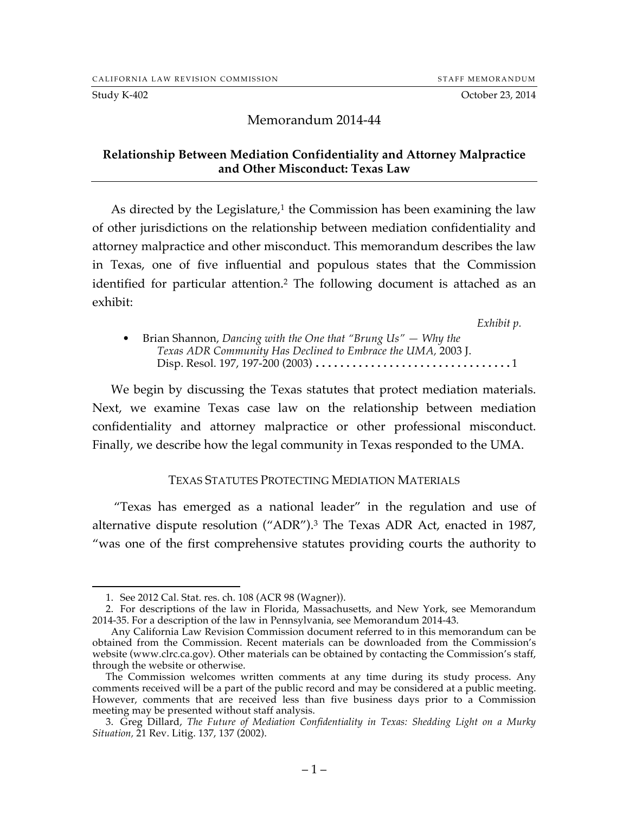Study K-402 Corober 23, 2014

#### Memorandum 2014-44

#### **Relationship Between Mediation Confidentiality and Attorney Malpractice and Other Misconduct: Texas Law**

As directed by the Legislature, $1$  the Commission has been examining the law of other jurisdictions on the relationship between mediation confidentiality and attorney malpractice and other misconduct. This memorandum describes the law in Texas, one of five influential and populous states that the Commission identified for particular attention.<sup>2</sup> The following document is attached as an exhibit:

*Exhibit p.*

• Brian Shannon, *Dancing with the One that "Brung Us" — Why the Texas ADR Community Has Declined to Embrace the UMA,* 2003 J. Disp. Resol. 197, 197-200 (2003) ................................1

We begin by discussing the Texas statutes that protect mediation materials. Next, we examine Texas case law on the relationship between mediation confidentiality and attorney malpractice or other professional misconduct. Finally, we describe how the legal community in Texas responded to the UMA.

#### TEXAS STATUTES PROTECTING MEDIATION MATERIALS

"Texas has emerged as a national leader" in the regulation and use of alternative dispute resolution ("ADR"). <sup>3</sup> The Texas ADR Act, enacted in 1987, "was one of the first comprehensive statutes providing courts the authority to

 <sup>1.</sup> See 2012 Cal. Stat. res. ch. 108 (ACR 98 (Wagner)).

<sup>2.</sup> For descriptions of the law in Florida, Massachusetts, and New York, see Memorandum 2014-35. For a description of the law in Pennsylvania, see Memorandum 2014-43.

Any California Law Revision Commission document referred to in this memorandum can be obtained from the Commission. Recent materials can be downloaded from the Commission's website (www.clrc.ca.gov). Other materials can be obtained by contacting the Commission's staff, through the website or otherwise.

The Commission welcomes written comments at any time during its study process. Any comments received will be a part of the public record and may be considered at a public meeting. However, comments that are received less than five business days prior to a Commission meeting may be presented without staff analysis.

<sup>3.</sup> Greg Dillard, *The Future of Mediation Confidentiality in Texas: Shedding Light on a Murky Situation,* 21 Rev. Litig. 137, 137 (2002).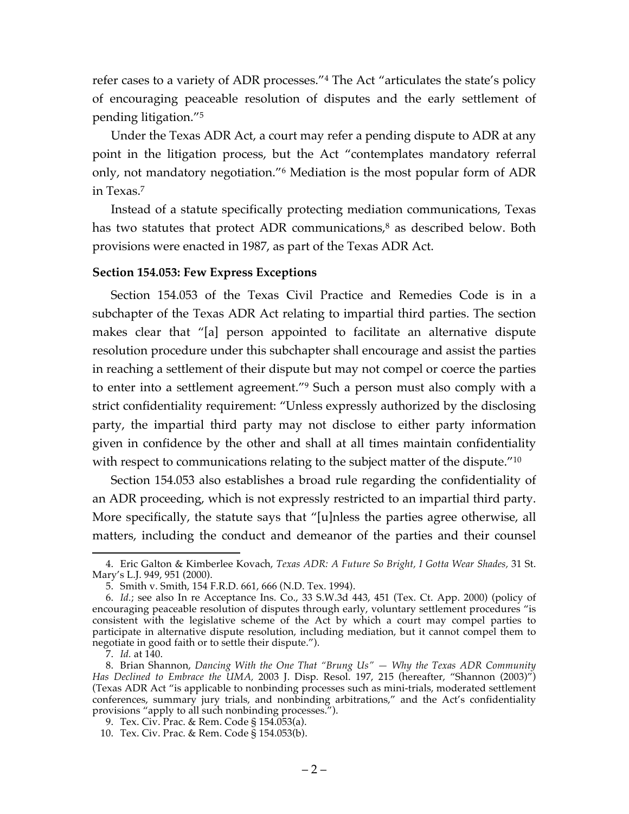refer cases to a variety of ADR processes."4 The Act "articulates the state's policy of encouraging peaceable resolution of disputes and the early settlement of pending litigation."5

Under the Texas ADR Act, a court may refer a pending dispute to ADR at any point in the litigation process, but the Act "contemplates mandatory referral only, not mandatory negotiation."6 Mediation is the most popular form of ADR in Texas.7

Instead of a statute specifically protecting mediation communications, Texas has two statutes that protect ADR communications, <sup>8</sup> as described below. Both provisions were enacted in 1987, as part of the Texas ADR Act.

#### **Section 154.053: Few Express Exceptions**

Section 154.053 of the Texas Civil Practice and Remedies Code is in a subchapter of the Texas ADR Act relating to impartial third parties. The section makes clear that "[a] person appointed to facilitate an alternative dispute resolution procedure under this subchapter shall encourage and assist the parties in reaching a settlement of their dispute but may not compel or coerce the parties to enter into a settlement agreement."9 Such a person must also comply with a strict confidentiality requirement: "Unless expressly authorized by the disclosing party, the impartial third party may not disclose to either party information given in confidence by the other and shall at all times maintain confidentiality with respect to communications relating to the subject matter of the dispute.<sup>"10</sup>

Section 154.053 also establishes a broad rule regarding the confidentiality of an ADR proceeding, which is not expressly restricted to an impartial third party. More specifically, the statute says that "[u]nless the parties agree otherwise, all matters, including the conduct and demeanor of the parties and their counsel

 <sup>4.</sup> Eric Galton & Kimberlee Kovach, *Texas ADR: A Future So Bright, I Gotta Wear Shades,* 31 St. Mary's L.J. 949, 951 (2000).

<sup>5.</sup> Smith v. Smith, 154 F.R.D. 661, 666 (N.D. Tex. 1994).

<sup>6.</sup> *Id.*; see also In re Acceptance Ins. Co., 33 S.W.3d 443, 451 (Tex. Ct. App. 2000) (policy of encouraging peaceable resolution of disputes through early, voluntary settlement procedures "is consistent with the legislative scheme of the Act by which a court may compel parties to participate in alternative dispute resolution, including mediation, but it cannot compel them to negotiate in good faith or to settle their dispute.").

<sup>7.</sup> *Id.* at 140.

<sup>8.</sup> Brian Shannon, *Dancing With the One That "Brung Us" — Why the Texas ADR Community Has Declined to Embrace the UMA,* 2003 J. Disp. Resol. 197, 215 (hereafter, "Shannon (2003)") (Texas ADR Act "is applicable to nonbinding processes such as mini-trials, moderated settlement conferences, summary jury trials, and nonbinding arbitrations," and the Act's confidentiality provisions "apply to all such nonbinding processes.").

<sup>9.</sup> Tex. Civ. Prac. & Rem. Code § 154.053(a).

<sup>10.</sup> Tex. Civ. Prac. & Rem. Code § 154.053(b).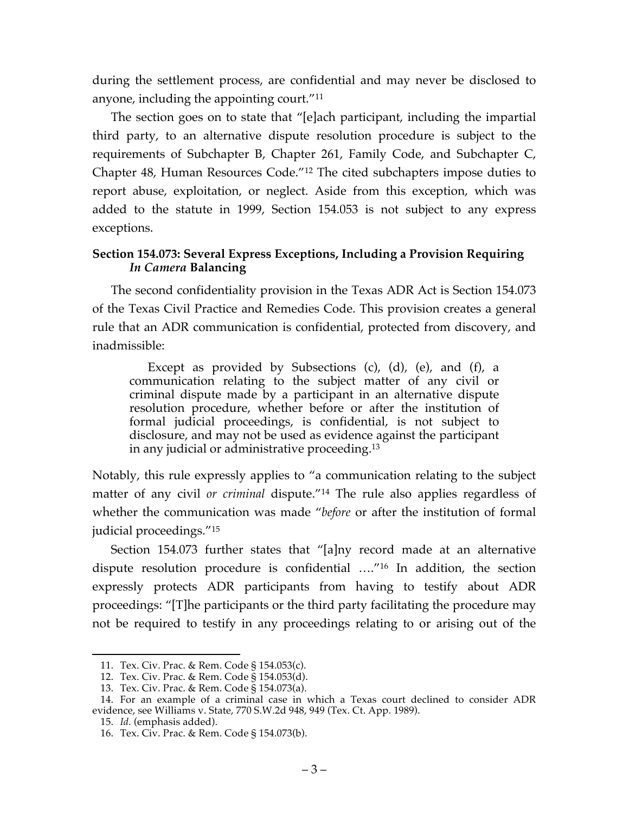during the settlement process, are confidential and may never be disclosed to anyone, including the appointing court."11

The section goes on to state that "[e]ach participant, including the impartial third party, to an alternative dispute resolution procedure is subject to the requirements of Subchapter B, Chapter 261, Family Code, and Subchapter C, Chapter 48, Human Resources Code."12 The cited subchapters impose duties to report abuse, exploitation, or neglect. Aside from this exception, which was added to the statute in 1999, Section 154.053 is not subject to any express exceptions.

## **Section 154.073: Several Express Exceptions, Including a Provision Requiring**  *In Camera* **Balancing**

The second confidentiality provision in the Texas ADR Act is Section 154.073 of the Texas Civil Practice and Remedies Code. This provision creates a general rule that an ADR communication is confidential, protected from discovery, and inadmissible:

Except as provided by Subsections (c), (d), (e), and (f), a communication relating to the subject matter of any civil or criminal dispute made by a participant in an alternative dispute resolution procedure, whether before or after the institution of formal judicial proceedings, is confidential, is not subject to disclosure, and may not be used as evidence against the participant in any judicial or administrative proceeding.13

Notably, this rule expressly applies to "a communication relating to the subject matter of any civil *or criminal* dispute."14 The rule also applies regardless of whether the communication was made "*before* or after the institution of formal judicial proceedings."15

Section 154.073 further states that "[a]ny record made at an alternative dispute resolution procedure is confidential …."16 In addition, the section expressly protects ADR participants from having to testify about ADR proceedings: "[T]he participants or the third party facilitating the procedure may not be required to testify in any proceedings relating to or arising out of the

 <sup>11.</sup> Tex. Civ. Prac. & Rem. Code § 154.053(c).

<sup>12.</sup> Tex. Civ. Prac. & Rem. Code § 154.053(d).

<sup>13.</sup> Tex. Civ. Prac. & Rem. Code § 154.073(a).

<sup>14.</sup> For an example of a criminal case in which a Texas court declined to consider ADR evidence, see Williams v. State, 770 S.W.2d 948, 949 (Tex. Ct. App. 1989).

<sup>15.</sup> *Id.* (emphasis added).

<sup>16.</sup> Tex. Civ. Prac. & Rem. Code § 154.073(b).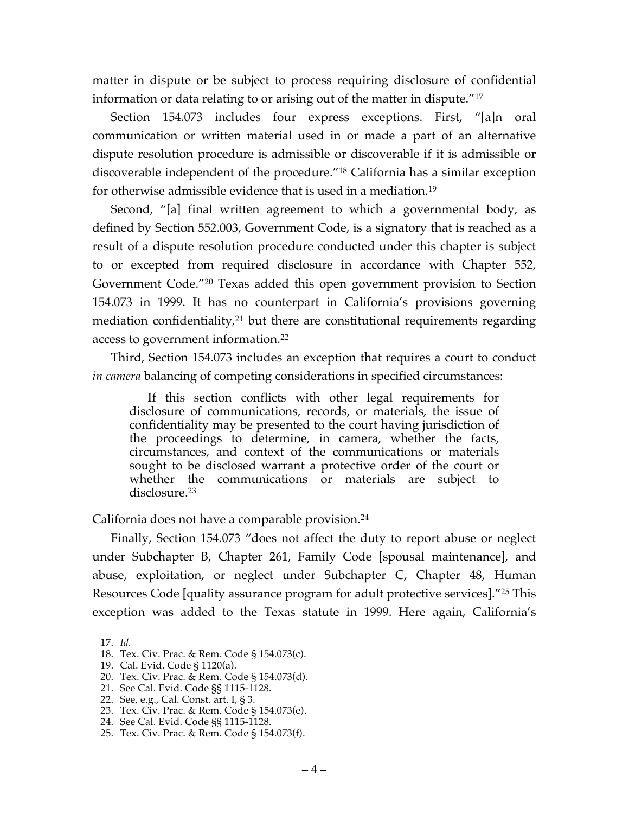matter in dispute or be subject to process requiring disclosure of confidential information or data relating to or arising out of the matter in dispute."17

Section 154.073 includes four express exceptions. First, "[a]n oral communication or written material used in or made a part of an alternative dispute resolution procedure is admissible or discoverable if it is admissible or discoverable independent of the procedure."18 California has a similar exception for otherwise admissible evidence that is used in a mediation. 19

Second, "[a] final written agreement to which a governmental body, as defined by Section 552.003, Government Code, is a signatory that is reached as a result of a dispute resolution procedure conducted under this chapter is subject to or excepted from required disclosure in accordance with Chapter 552, Government Code."20 Texas added this open government provision to Section 154.073 in 1999. It has no counterpart in California's provisions governing mediation confidentiality, <sup>21</sup> but there are constitutional requirements regarding access to government information.22

Third, Section 154.073 includes an exception that requires a court to conduct *in camera* balancing of competing considerations in specified circumstances:

If this section conflicts with other legal requirements for disclosure of communications, records, or materials, the issue of confidentiality may be presented to the court having jurisdiction of the proceedings to determine, in camera, whether the facts, circumstances, and context of the communications or materials sought to be disclosed warrant a protective order of the court or whether the communications or materials are subject to disclosure.23

### California does not have a comparable provision.24

Finally, Section 154.073 "does not affect the duty to report abuse or neglect under Subchapter B, Chapter 261, Family Code [spousal maintenance], and abuse, exploitation, or neglect under Subchapter C, Chapter 48, Human Resources Code [quality assurance program for adult protective services]."25 This exception was added to the Texas statute in 1999. Here again, California's

 <sup>17.</sup> *Id.*

<sup>18.</sup> Tex. Civ. Prac. & Rem. Code § 154.073(c).

<sup>19.</sup> Cal. Evid. Code § 1120(a).

<sup>20.</sup> Tex. Civ. Prac. & Rem. Code § 154.073(d).

<sup>21.</sup> See Cal. Evid. Code §§ 1115-1128.

<sup>22.</sup> See, e.g., Cal. Const. art. I, § 3.

<sup>23.</sup> Tex. Civ. Prac. & Rem. Code § 154.073(e).

<sup>24.</sup> See Cal. Evid. Code §§ 1115-1128.

<sup>25.</sup> Tex. Civ. Prac. & Rem. Code § 154.073(f).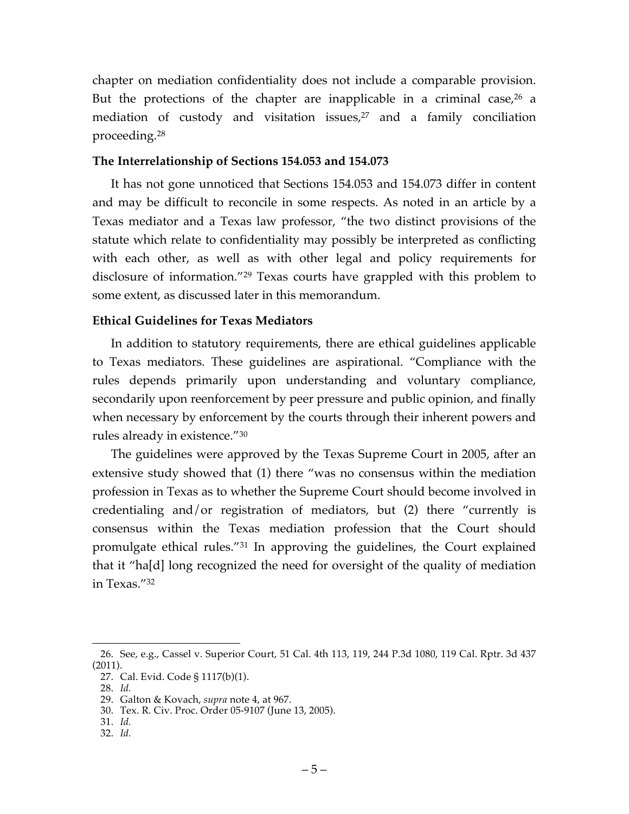chapter on mediation confidentiality does not include a comparable provision. But the protections of the chapter are inapplicable in a criminal case, <sup>26</sup> a mediation of custody and visitation issues,<sup>27</sup> and a family conciliation proceeding.28

#### **The Interrelationship of Sections 154.053 and 154.073**

It has not gone unnoticed that Sections 154.053 and 154.073 differ in content and may be difficult to reconcile in some respects. As noted in an article by a Texas mediator and a Texas law professor, "the two distinct provisions of the statute which relate to confidentiality may possibly be interpreted as conflicting with each other, as well as with other legal and policy requirements for disclosure of information."29 Texas courts have grappled with this problem to some extent, as discussed later in this memorandum.

### **Ethical Guidelines for Texas Mediators**

In addition to statutory requirements, there are ethical guidelines applicable to Texas mediators. These guidelines are aspirational. "Compliance with the rules depends primarily upon understanding and voluntary compliance, secondarily upon reenforcement by peer pressure and public opinion, and finally when necessary by enforcement by the courts through their inherent powers and rules already in existence."30

The guidelines were approved by the Texas Supreme Court in 2005, after an extensive study showed that (1) there "was no consensus within the mediation profession in Texas as to whether the Supreme Court should become involved in credentialing and/or registration of mediators, but (2) there "currently is consensus within the Texas mediation profession that the Court should promulgate ethical rules."31 In approving the guidelines, the Court explained that it "ha[d] long recognized the need for oversight of the quality of mediation in Texas."32

 <sup>26.</sup> See, e.g., Cassel v. Superior Court, 51 Cal. 4th 113, 119, 244 P.3d 1080, 119 Cal. Rptr. 3d 437 (2011).

<sup>27.</sup> Cal. Evid. Code § 1117(b)(1).

<sup>28.</sup> *Id.*

<sup>29.</sup> Galton & Kovach, *supra* note 4, at 967.

<sup>30.</sup> Tex. R. Civ. Proc. Order 05-9107 (June 13, 2005).

<sup>31.</sup> *Id.*

<sup>32.</sup> *Id.*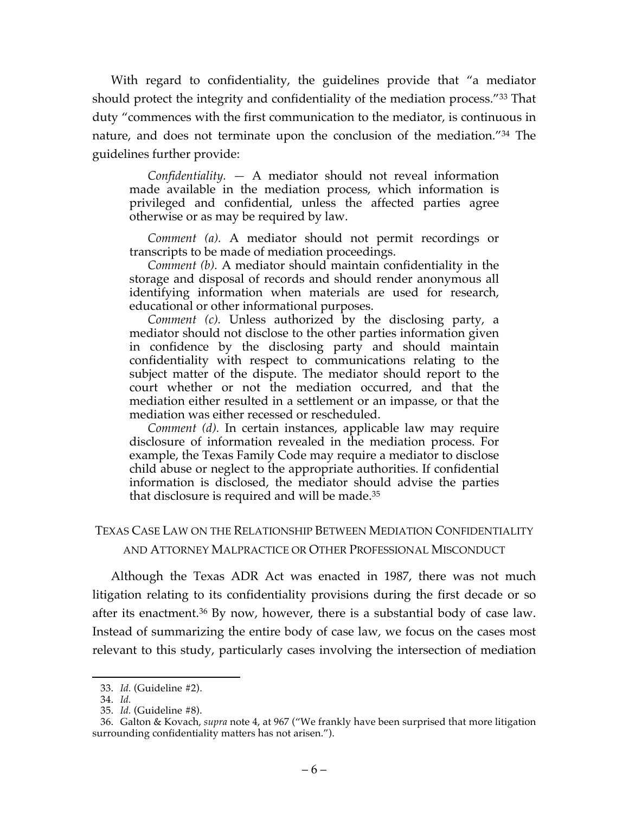With regard to confidentiality, the guidelines provide that "a mediator should protect the integrity and confidentiality of the mediation process."33 That duty "commences with the first communication to the mediator, is continuous in nature, and does not terminate upon the conclusion of the mediation."34 The guidelines further provide:

*Confidentiality. —* A mediator should not reveal information made available in the mediation process, which information is privileged and confidential, unless the affected parties agree otherwise or as may be required by law.

*Comment (a).* A mediator should not permit recordings or transcripts to be made of mediation proceedings.

*Comment (b).* A mediator should maintain confidentiality in the storage and disposal of records and should render anonymous all identifying information when materials are used for research, educational or other informational purposes.

*Comment (c).* Unless authorized by the disclosing party, a mediator should not disclose to the other parties information given in confidence by the disclosing party and should maintain confidentiality with respect to communications relating to the subject matter of the dispute. The mediator should report to the court whether or not the mediation occurred, and that the mediation either resulted in a settlement or an impasse, or that the mediation was either recessed or rescheduled.

*Comment (d).* In certain instances, applicable law may require disclosure of information revealed in the mediation process. For example, the Texas Family Code may require a mediator to disclose child abuse or neglect to the appropriate authorities. If confidential information is disclosed, the mediator should advise the parties that disclosure is required and will be made.35

## TEXAS CASE LAW ON THE RELATIONSHIP BETWEEN MEDIATION CONFIDENTIALITY AND ATTORNEY MALPRACTICE OR OTHER PROFESSIONAL MISCONDUCT

Although the Texas ADR Act was enacted in 1987, there was not much litigation relating to its confidentiality provisions during the first decade or so after its enactment. <sup>36</sup> By now, however, there is a substantial body of case law. Instead of summarizing the entire body of case law, we focus on the cases most relevant to this study, particularly cases involving the intersection of mediation

 <sup>33.</sup> *Id.* (Guideline #2).

<sup>34.</sup> *Id.*

<sup>35.</sup> *Id.* (Guideline #8).

<sup>36.</sup> Galton & Kovach, *supra* note 4, at 967 ("We frankly have been surprised that more litigation surrounding confidentiality matters has not arisen.").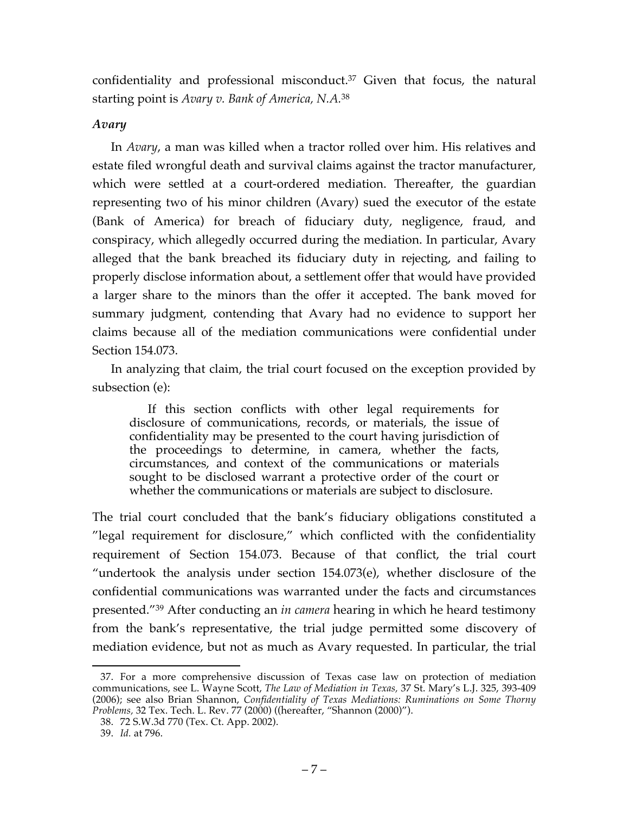confidentiality and professional misconduct.37 Given that focus, the natural starting point is *Avary v. Bank of America, N.A.*<sup>38</sup>

## *Avary*

In *Avary*, a man was killed when a tractor rolled over him. His relatives and estate filed wrongful death and survival claims against the tractor manufacturer, which were settled at a court-ordered mediation. Thereafter, the guardian representing two of his minor children (Avary) sued the executor of the estate (Bank of America) for breach of fiduciary duty, negligence, fraud, and conspiracy, which allegedly occurred during the mediation. In particular, Avary alleged that the bank breached its fiduciary duty in rejecting, and failing to properly disclose information about, a settlement offer that would have provided a larger share to the minors than the offer it accepted. The bank moved for summary judgment, contending that Avary had no evidence to support her claims because all of the mediation communications were confidential under Section 154.073.

In analyzing that claim, the trial court focused on the exception provided by subsection (e):

If this section conflicts with other legal requirements for disclosure of communications, records, or materials, the issue of confidentiality may be presented to the court having jurisdiction of the proceedings to determine, in camera, whether the facts, circumstances, and context of the communications or materials sought to be disclosed warrant a protective order of the court or whether the communications or materials are subject to disclosure.

The trial court concluded that the bank's fiduciary obligations constituted a "legal requirement for disclosure," which conflicted with the confidentiality requirement of Section 154.073. Because of that conflict, the trial court "undertook the analysis under section 154.073(e), whether disclosure of the confidential communications was warranted under the facts and circumstances presented."39 After conducting an *in camera* hearing in which he heard testimony from the bank's representative, the trial judge permitted some discovery of mediation evidence, but not as much as Avary requested. In particular, the trial

 <sup>37.</sup> For a more comprehensive discussion of Texas case law on protection of mediation communications, see L. Wayne Scott, *The Law of Mediation in Texas,* 37 St. Mary's L.J. 325, 393-409 (2006); see also Brian Shannon, *Confidentiality of Texas Mediations: Ruminations on Some Thorny Problems,* 32 Tex. Tech. L. Rev. 77 (2000) ((hereafter, "Shannon (2000)").

<sup>38.</sup> 72 S.W.3d 770 (Tex. Ct. App. 2002).

<sup>39.</sup> *Id.* at 796.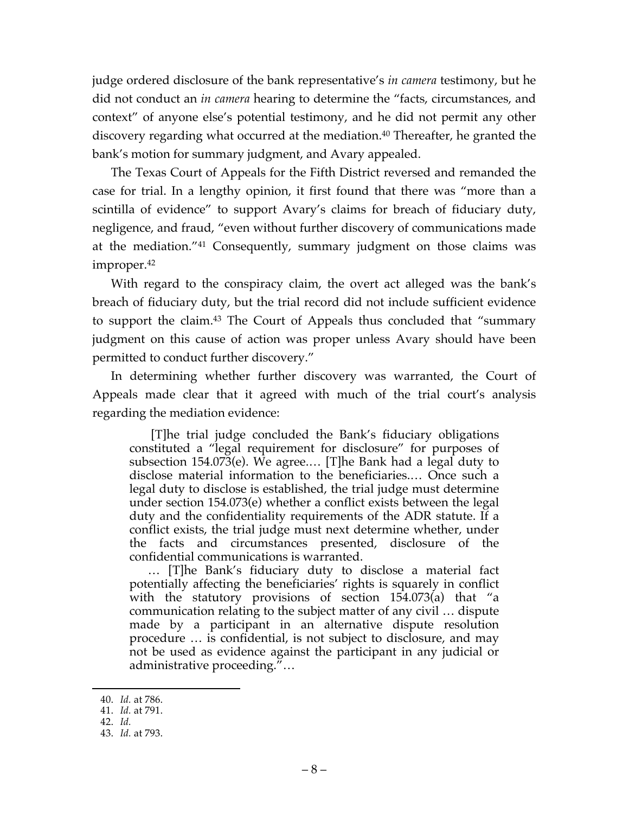judge ordered disclosure of the bank representative's *in camera* testimony, but he did not conduct an *in camera* hearing to determine the "facts, circumstances, and context" of anyone else's potential testimony, and he did not permit any other discovery regarding what occurred at the mediation. <sup>40</sup> Thereafter, he granted the bank's motion for summary judgment, and Avary appealed.

The Texas Court of Appeals for the Fifth District reversed and remanded the case for trial. In a lengthy opinion, it first found that there was "more than a scintilla of evidence" to support Avary's claims for breach of fiduciary duty, negligence, and fraud, "even without further discovery of communications made at the mediation."41 Consequently, summary judgment on those claims was improper.42

With regard to the conspiracy claim, the overt act alleged was the bank's breach of fiduciary duty, but the trial record did not include sufficient evidence to support the claim.43 The Court of Appeals thus concluded that "summary judgment on this cause of action was proper unless Avary should have been permitted to conduct further discovery."

In determining whether further discovery was warranted, the Court of Appeals made clear that it agreed with much of the trial court's analysis regarding the mediation evidence:

[T]he trial judge concluded the Bank's fiduciary obligations constituted a "legal requirement for disclosure" for purposes of subsection 154.073 $(e)$ . We agree.... [T]he Bank had a legal duty to disclose material information to the beneficiaries.… Once such a legal duty to disclose is established, the trial judge must determine under section 154.073(e) whether a conflict exists between the legal duty and the confidentiality requirements of the ADR statute. If a conflict exists, the trial judge must next determine whether, under the facts and circumstances presented, disclosure of the confidential communications is warranted.

… [T]he Bank's fiduciary duty to disclose a material fact potentially affecting the beneficiaries' rights is squarely in conflict with the statutory provisions of section  $154.073(a)$  that "a communication relating to the subject matter of any civil … dispute made by a participant in an alternative dispute resolution procedure … is confidential, is not subject to disclosure, and may not be used as evidence against the participant in any judicial or administrative proceeding."…

 <sup>40.</sup> *Id.* at 786.

<sup>41.</sup> *Id.* at 791.

<sup>42.</sup> *Id.*

<sup>43.</sup> *Id.* at 793.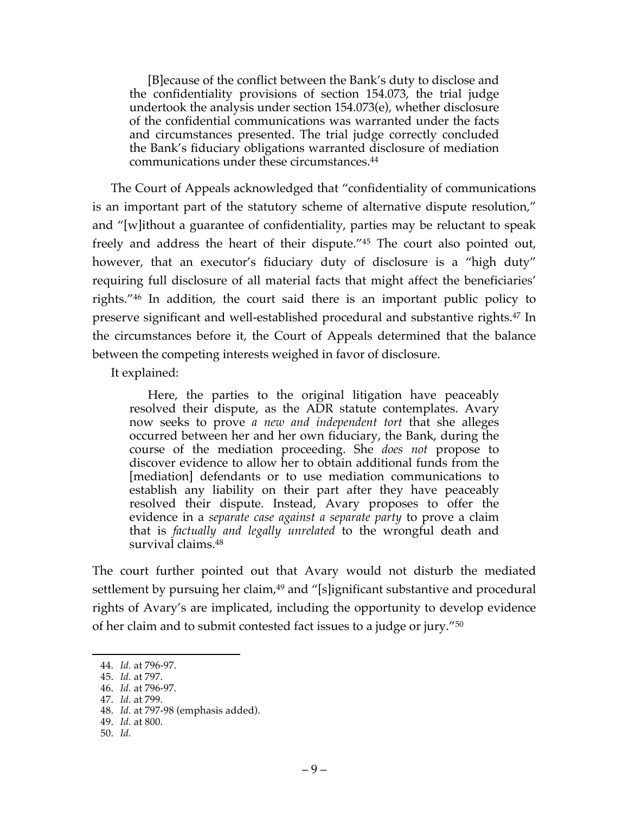[B]ecause of the conflict between the Bank's duty to disclose and the confidentiality provisions of section 154.073, the trial judge undertook the analysis under section 154.073(e), whether disclosure of the confidential communications was warranted under the facts and circumstances presented. The trial judge correctly concluded the Bank's fiduciary obligations warranted disclosure of mediation communications under these circumstances.44

The Court of Appeals acknowledged that "confidentiality of communications is an important part of the statutory scheme of alternative dispute resolution," and "[w]ithout a guarantee of confidentiality, parties may be reluctant to speak freely and address the heart of their dispute."45 The court also pointed out, however, that an executor's fiduciary duty of disclosure is a "high duty" requiring full disclosure of all material facts that might affect the beneficiaries' rights."46 In addition, the court said there is an important public policy to preserve significant and well-established procedural and substantive rights.47 In the circumstances before it, the Court of Appeals determined that the balance between the competing interests weighed in favor of disclosure.

It explained:

Here, the parties to the original litigation have peaceably resolved their dispute, as the ADR statute contemplates. Avary now seeks to prove *a new and independent tort* that she alleges occurred between her and her own fiduciary, the Bank, during the course of the mediation proceeding. She *does not* propose to discover evidence to allow her to obtain additional funds from the [mediation] defendants or to use mediation communications to establish any liability on their part after they have peaceably resolved their dispute. Instead, Avary proposes to offer the evidence in a *separate case against a separate party* to prove a claim that is *factually and legally unrelated* to the wrongful death and survival claims.48

The court further pointed out that Avary would not disturb the mediated settlement by pursuing her claim,<sup>49</sup> and "[s]ignificant substantive and procedural rights of Avary's are implicated, including the opportunity to develop evidence of her claim and to submit contested fact issues to a judge or jury."50

 <sup>44.</sup> *Id.* at 796-97.

<sup>45.</sup> *Id.* at 797.

<sup>46.</sup> *Id.* at 796-97.

<sup>47.</sup> *Id.* at 799.

<sup>48.</sup> *Id.* at 797-98 (emphasis added).

<sup>49.</sup> *Id.* at 800.

<sup>50.</sup> *Id.*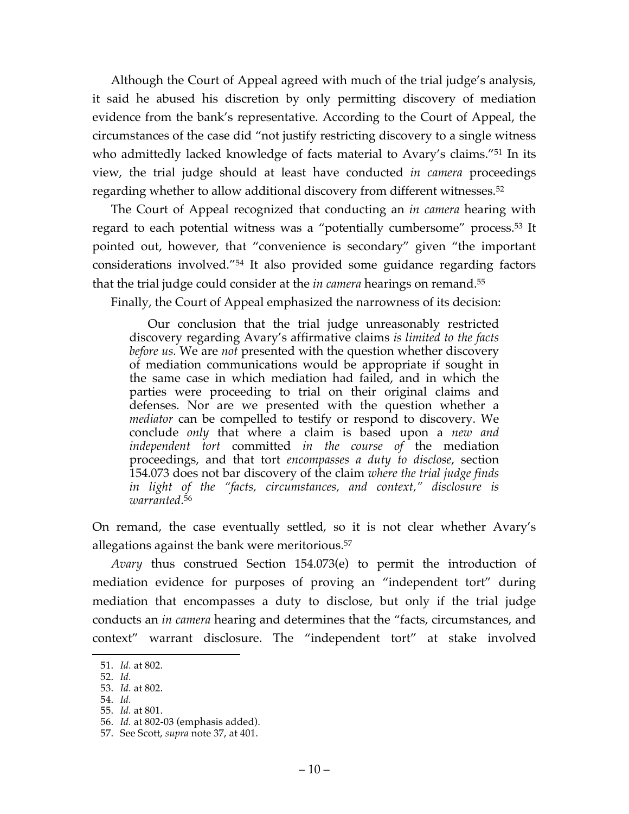Although the Court of Appeal agreed with much of the trial judge's analysis, it said he abused his discretion by only permitting discovery of mediation evidence from the bank's representative. According to the Court of Appeal, the circumstances of the case did "not justify restricting discovery to a single witness who admittedly lacked knowledge of facts material to Avary's claims."<sup>51</sup> In its view, the trial judge should at least have conducted *in camera* proceedings regarding whether to allow additional discovery from different witnesses.52

The Court of Appeal recognized that conducting an *in camera* hearing with regard to each potential witness was a "potentially cumbersome" process.53 It pointed out, however, that "convenience is secondary" given "the important considerations involved."54 It also provided some guidance regarding factors that the trial judge could consider at the *in camera* hearings on remand.55

Finally, the Court of Appeal emphasized the narrowness of its decision:

Our conclusion that the trial judge unreasonably restricted discovery regarding Avary's affirmative claims *is limited to the facts before us.* We are *not* presented with the question whether discovery of mediation communications would be appropriate if sought in the same case in which mediation had failed, and in which the parties were proceeding to trial on their original claims and defenses. Nor are we presented with the question whether a *mediator* can be compelled to testify or respond to discovery. We conclude *only* that where a claim is based upon a *new and independent tort* committed *in the course of* the mediation proceedings, and that tort *encompasses a duty to disclose*, section 154.073 does not bar discovery of the claim *where the trial judge finds in light of the "facts, circumstances, and context," disclosure is warranted*. 56

On remand, the case eventually settled, so it is not clear whether Avary's allegations against the bank were meritorious.57

*Avary* thus construed Section 154.073(e) to permit the introduction of mediation evidence for purposes of proving an "independent tort" during mediation that encompasses a duty to disclose, but only if the trial judge conducts an *in camera* hearing and determines that the "facts, circumstances, and context" warrant disclosure. The "independent tort" at stake involved

54. *Id.* 55. *Id.* at 801.

 <sup>51.</sup> *Id.* at 802.

<sup>52.</sup> *Id.*

<sup>53.</sup> *Id.* at 802.

<sup>56.</sup> *Id.* at 802-03 (emphasis added).

<sup>57.</sup> See Scott, *supra* note 37, at 401.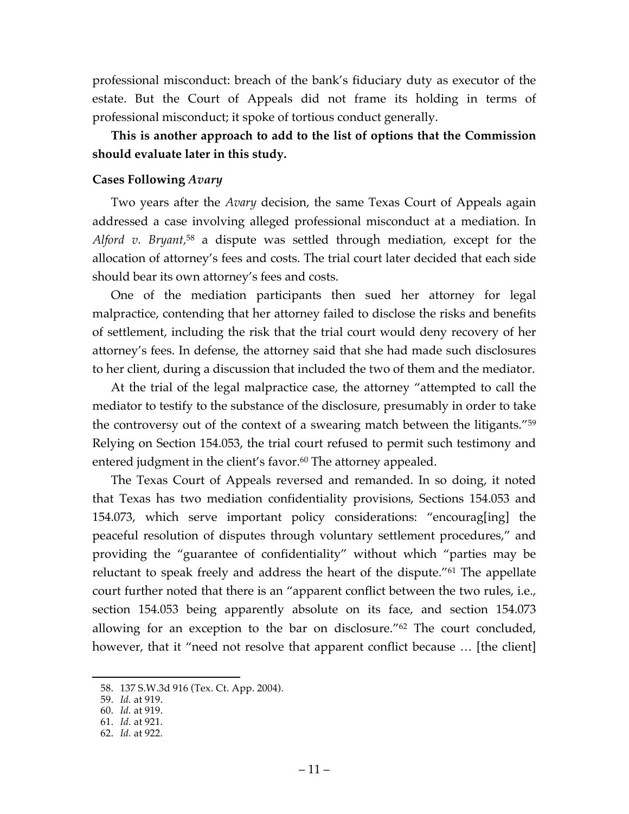professional misconduct: breach of the bank's fiduciary duty as executor of the estate. But the Court of Appeals did not frame its holding in terms of professional misconduct; it spoke of tortious conduct generally.

# **This is another approach to add to the list of options that the Commission should evaluate later in this study.**

## **Cases Following** *Avary*

Two years after the *Avary* decision, the same Texas Court of Appeals again addressed a case involving alleged professional misconduct at a mediation. In *Alford v. Bryant,*<sup>58</sup> a dispute was settled through mediation, except for the allocation of attorney's fees and costs. The trial court later decided that each side should bear its own attorney's fees and costs.

One of the mediation participants then sued her attorney for legal malpractice, contending that her attorney failed to disclose the risks and benefits of settlement, including the risk that the trial court would deny recovery of her attorney's fees. In defense, the attorney said that she had made such disclosures to her client, during a discussion that included the two of them and the mediator.

At the trial of the legal malpractice case, the attorney "attempted to call the mediator to testify to the substance of the disclosure, presumably in order to take the controversy out of the context of a swearing match between the litigants."59 Relying on Section 154.053, the trial court refused to permit such testimony and entered judgment in the client's favor. <sup>60</sup> The attorney appealed.

The Texas Court of Appeals reversed and remanded. In so doing, it noted that Texas has two mediation confidentiality provisions, Sections 154.053 and 154.073, which serve important policy considerations: "encourag[ing] the peaceful resolution of disputes through voluntary settlement procedures," and providing the "guarantee of confidentiality" without which "parties may be reluctant to speak freely and address the heart of the dispute."61 The appellate court further noted that there is an "apparent conflict between the two rules, i.e., section 154.053 being apparently absolute on its face, and section 154.073 allowing for an exception to the bar on disclosure."62 The court concluded, however, that it "need not resolve that apparent conflict because … [the client]

 <sup>58.</sup> 137 S.W.3d 916 (Tex. Ct. App. 2004).

<sup>59.</sup> *Id.* at 919.

<sup>60.</sup> *Id.* at 919.

<sup>61.</sup> *Id.* at 921.

<sup>62.</sup> *Id.* at 922.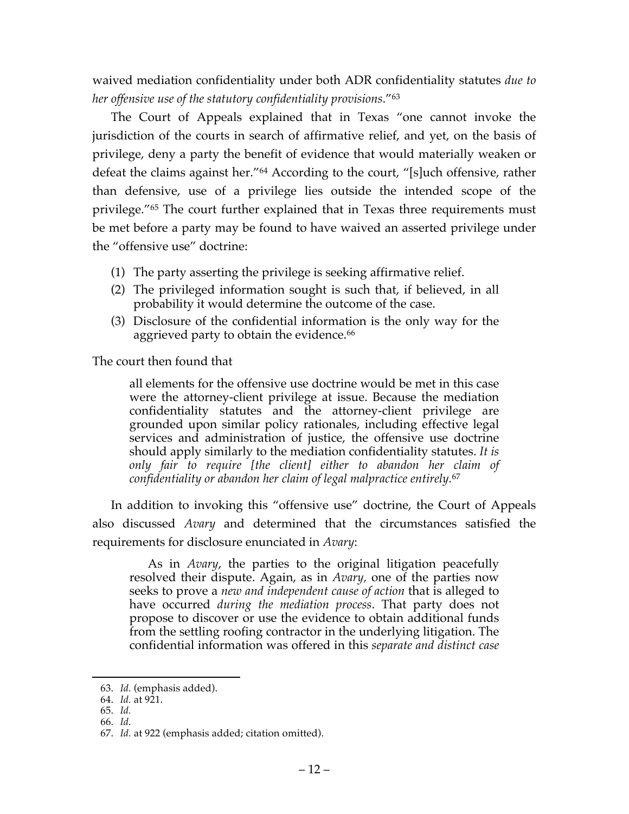waived mediation confidentiality under both ADR confidentiality statutes *due to her offensive use of the statutory confidentiality provisions*."63

The Court of Appeals explained that in Texas "one cannot invoke the jurisdiction of the courts in search of affirmative relief, and yet, on the basis of privilege, deny a party the benefit of evidence that would materially weaken or defeat the claims against her."64 According to the court, "[s]uch offensive, rather than defensive, use of a privilege lies outside the intended scope of the privilege."65 The court further explained that in Texas three requirements must be met before a party may be found to have waived an asserted privilege under the "offensive use" doctrine:

- (1) The party asserting the privilege is seeking affirmative relief.
- (2) The privileged information sought is such that, if believed, in all probability it would determine the outcome of the case.
- (3) Disclosure of the confidential information is the only way for the aggrieved party to obtain the evidence.<sup>66</sup>

The court then found that

all elements for the offensive use doctrine would be met in this case were the attorney-client privilege at issue. Because the mediation confidentiality statutes and the attorney-client privilege are grounded upon similar policy rationales, including effective legal services and administration of justice, the offensive use doctrine should apply similarly to the mediation confidentiality statutes. *It is only fair to require [the client] either to abandon her claim of confidentiality or abandon her claim of legal malpractice entirely.*<sup>67</sup>

In addition to invoking this "offensive use" doctrine, the Court of Appeals also discussed *Avary* and determined that the circumstances satisfied the requirements for disclosure enunciated in *Avary*:

As in *Avary*, the parties to the original litigation peacefully resolved their dispute. Again, as in *Avary,* one of the parties now seeks to prove a *new and independent cause of action* that is alleged to have occurred *during the mediation process*. That party does not propose to discover or use the evidence to obtain additional funds from the settling roofing contractor in the underlying litigation. The confidential information was offered in this *separate and distinct case* 

66. *Id.*

 <sup>63.</sup> *Id.* (emphasis added).

<sup>64.</sup> *Id.* at 921.

<sup>65.</sup> *Id.*

<sup>67.</sup> *Id.* at 922 (emphasis added; citation omitted).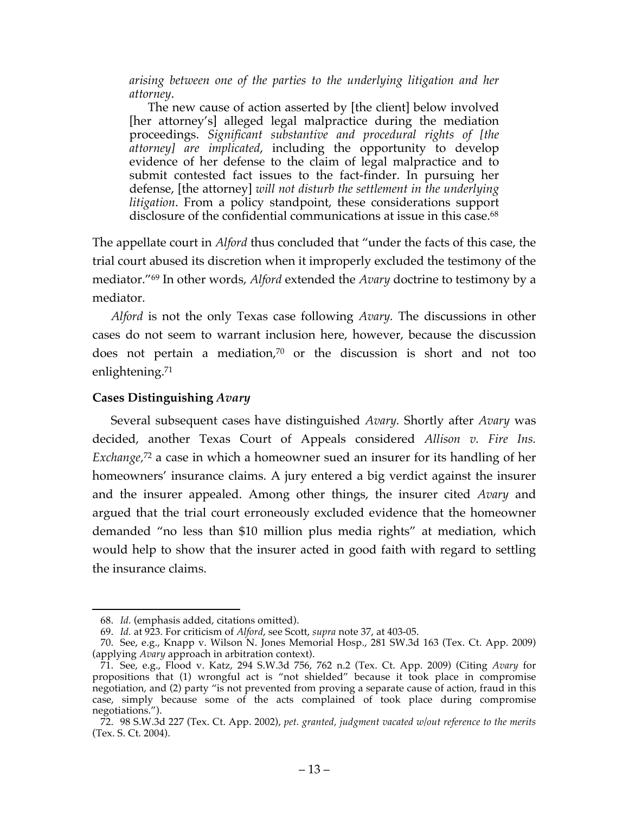*arising between one of the parties to the underlying litigation and her attorney*.

The new cause of action asserted by [the client] below involved [her attorney's] alleged legal malpractice during the mediation proceedings. *Significant substantive and procedural rights of [the attorney] are implicated*, including the opportunity to develop evidence of her defense to the claim of legal malpractice and to submit contested fact issues to the fact-finder. In pursuing her defense, [the attorney] *will not disturb the settlement in the underlying litigation*. From a policy standpoint, these considerations support disclosure of the confidential communications at issue in this case.<sup>68</sup>

The appellate court in *Alford* thus concluded that "under the facts of this case, the trial court abused its discretion when it improperly excluded the testimony of the mediator."69 In other words, *Alford* extended the *Avary* doctrine to testimony by a mediator.

*Alford* is not the only Texas case following *Avary.* The discussions in other cases do not seem to warrant inclusion here, however, because the discussion does not pertain a mediation,70 or the discussion is short and not too enlightening. 71

### **Cases Distinguishing** *Avary*

Several subsequent cases have distinguished *Avary.* Shortly after *Avary* was decided, another Texas Court of Appeals considered *Allison v. Fire Ins. Exchange,*<sup>72</sup> a case in which a homeowner sued an insurer for its handling of her homeowners' insurance claims. A jury entered a big verdict against the insurer and the insurer appealed. Among other things, the insurer cited *Avary* and argued that the trial court erroneously excluded evidence that the homeowner demanded "no less than \$10 million plus media rights" at mediation, which would help to show that the insurer acted in good faith with regard to settling the insurance claims.

 <sup>68.</sup> *Id.* (emphasis added, citations omitted).

<sup>69.</sup> *Id.* at 923. For criticism of *Alford*, see Scott, *supra* note 37, at 403-05.

<sup>70.</sup> See, e.g., Knapp v. Wilson N. Jones Memorial Hosp., 281 SW.3d 163 (Tex. Ct. App. 2009) (applying *Avary* approach in arbitration context).

<sup>71.</sup> See, e.g., Flood v. Katz, 294 S.W.3d 756, 762 n.2 (Tex. Ct. App. 2009) (Citing *Avary* for propositions that (1) wrongful act is "not shielded" because it took place in compromise negotiation, and (2) party "is not prevented from proving a separate cause of action, fraud in this case, simply because some of the acts complained of took place during compromise negotiations.").

<sup>72.</sup> 98 S.W.3d 227 (Tex. Ct. App. 2002), *pet. granted, judgment vacated w/out reference to the merits*  (Tex. S. Ct. 2004).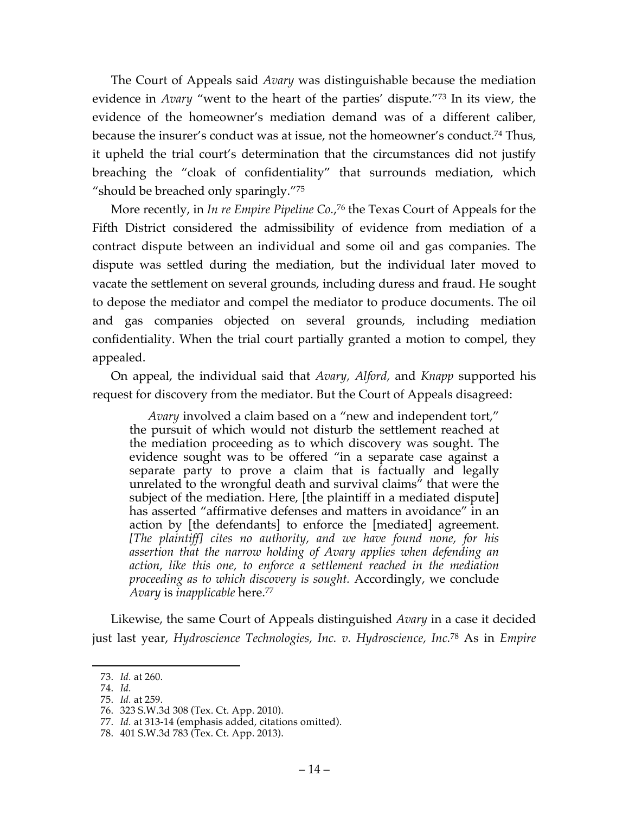The Court of Appeals said *Avary* was distinguishable because the mediation evidence in *Avary* "went to the heart of the parties' dispute."73 In its view, the evidence of the homeowner's mediation demand was of a different caliber, because the insurer's conduct was at issue, not the homeowner's conduct.74 Thus, it upheld the trial court's determination that the circumstances did not justify breaching the "cloak of confidentiality" that surrounds mediation, which "should be breached only sparingly."75

More recently, in *In re Empire Pipeline Co.*, <sup>76</sup> the Texas Court of Appeals for the Fifth District considered the admissibility of evidence from mediation of a contract dispute between an individual and some oil and gas companies. The dispute was settled during the mediation, but the individual later moved to vacate the settlement on several grounds, including duress and fraud. He sought to depose the mediator and compel the mediator to produce documents. The oil and gas companies objected on several grounds, including mediation confidentiality. When the trial court partially granted a motion to compel, they appealed.

On appeal, the individual said that *Avary, Alford,* and *Knapp* supported his request for discovery from the mediator. But the Court of Appeals disagreed:

*Avary* involved a claim based on a "new and independent tort," the pursuit of which would not disturb the settlement reached at the mediation proceeding as to which discovery was sought. The evidence sought was to be offered "in a separate case against a separate party to prove a claim that is factually and legally unrelated to the wrongful death and survival claims" that were the subject of the mediation. Here, [the plaintiff in a mediated dispute] has asserted "affirmative defenses and matters in avoidance" in an action by [the defendants] to enforce the [mediated] agreement. *[The plaintiff] cites no authority, and we have found none, for his assertion that the narrow holding of Avary applies when defending an action, like this one, to enforce a settlement reached in the mediation proceeding as to which discovery is sought.* Accordingly, we conclude *Avary* is *inapplicable* here.77

Likewise, the same Court of Appeals distinguished *Avary* in a case it decided just last year, *Hydroscience Technologies, Inc. v. Hydroscience, Inc.*<sup>78</sup> As in *Empire* 

 <sup>73.</sup> *Id.* at 260.

<sup>74.</sup> *Id.*

<sup>75.</sup> *Id.* at 259.

<sup>76.</sup> 323 S.W.3d 308 (Tex. Ct. App. 2010).

<sup>77.</sup> *Id.* at 313-14 (emphasis added, citations omitted).

<sup>78.</sup> 401 S.W.3d 783 (Tex. Ct. App. 2013).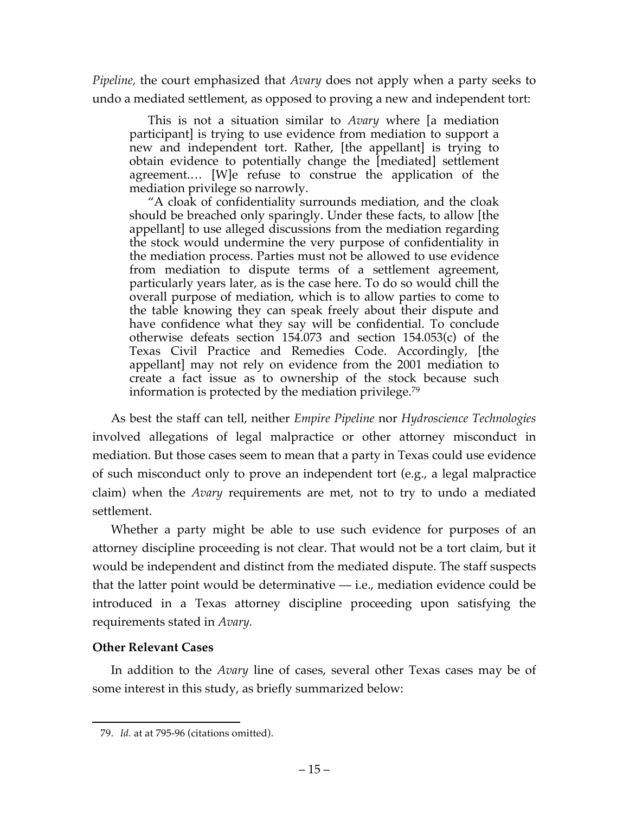*Pipeline,* the court emphasized that *Avary* does not apply when a party seeks to undo a mediated settlement, as opposed to proving a new and independent tort:

This is not a situation similar to *Avary* where [a mediation participant] is trying to use evidence from mediation to support a new and independent tort. Rather, [the appellant] is trying to obtain evidence to potentially change the [mediated] settlement agreement.… [W]e refuse to construe the application of the mediation privilege so narrowly.

"A cloak of confidentiality surrounds mediation, and the cloak should be breached only sparingly. Under these facts, to allow [the appellant] to use alleged discussions from the mediation regarding the stock would undermine the very purpose of confidentiality in the mediation process. Parties must not be allowed to use evidence from mediation to dispute terms of a settlement agreement, particularly years later, as is the case here. To do so would chill the overall purpose of mediation, which is to allow parties to come to the table knowing they can speak freely about their dispute and have confidence what they say will be confidential. To conclude otherwise defeats section 154.073 and section 154.053(c) of the Texas Civil Practice and Remedies Code. Accordingly, [the appellant] may not rely on evidence from the 2001 mediation to create a fact issue as to ownership of the stock because such information is protected by the mediation privilege.79

As best the staff can tell, neither *Empire Pipeline* nor *Hydroscience Technologies* involved allegations of legal malpractice or other attorney misconduct in mediation. But those cases seem to mean that a party in Texas could use evidence of such misconduct only to prove an independent tort (e.g., a legal malpractice claim) when the *Avary* requirements are met, not to try to undo a mediated settlement.

Whether a party might be able to use such evidence for purposes of an attorney discipline proceeding is not clear. That would not be a tort claim, but it would be independent and distinct from the mediated dispute. The staff suspects that the latter point would be determinative — i.e., mediation evidence could be introduced in a Texas attorney discipline proceeding upon satisfying the requirements stated in *Avary.*

## **Other Relevant Cases**

In addition to the *Avary* line of cases, several other Texas cases may be of some interest in this study, as briefly summarized below:

 <sup>79.</sup> *Id.* at at 795-96 (citations omitted).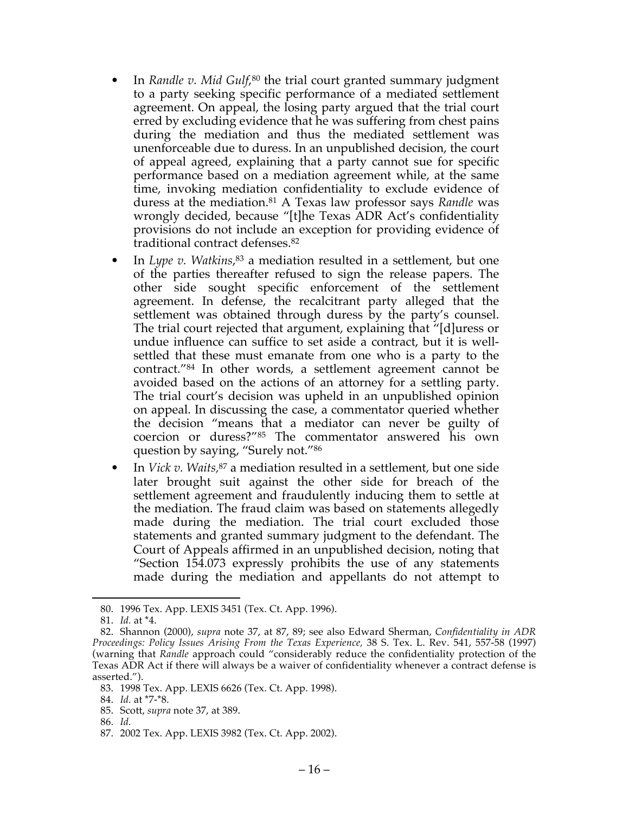- In *Randle v. Mid Gulf*,<sup>80</sup> the trial court granted summary judgment to a party seeking specific performance of a mediated settlement agreement. On appeal, the losing party argued that the trial court erred by excluding evidence that he was suffering from chest pains during the mediation and thus the mediated settlement was unenforceable due to duress. In an unpublished decision, the court of appeal agreed, explaining that a party cannot sue for specific performance based on a mediation agreement while, at the same time, invoking mediation confidentiality to exclude evidence of duress at the mediation.81 A Texas law professor says *Randle* was wrongly decided, because "[t]he Texas ADR Act's confidentiality provisions do not include an exception for providing evidence of traditional contract defenses.82
- In *Lype v. Watkins*,<sup>83</sup> a mediation resulted in a settlement, but one of the parties thereafter refused to sign the release papers. The other side sought specific enforcement of the settlement agreement. In defense, the recalcitrant party alleged that the settlement was obtained through duress by the party's counsel. The trial court rejected that argument, explaining that "[d]uress or undue influence can suffice to set aside a contract, but it is wellsettled that these must emanate from one who is a party to the contract."84 In other words, a settlement agreement cannot be avoided based on the actions of an attorney for a settling party. The trial court's decision was upheld in an unpublished opinion on appeal. In discussing the case, a commentator queried whether the decision "means that a mediator can never be guilty of coercion or duress?"85 The commentator answered his own question by saying, "Surely not."86
- In *Vick v. Waits,*<sup>87</sup> a mediation resulted in a settlement, but one side later brought suit against the other side for breach of the settlement agreement and fraudulently inducing them to settle at the mediation. The fraud claim was based on statements allegedly made during the mediation. The trial court excluded those statements and granted summary judgment to the defendant. The Court of Appeals affirmed in an unpublished decision, noting that "Section 154.073 expressly prohibits the use of any statements made during the mediation and appellants do not attempt to

 <sup>80.</sup> 1996 Tex. App. LEXIS 3451 (Tex. Ct. App. 1996).

<sup>81.</sup> *Id.* at \*4.

<sup>82.</sup> Shannon (2000), *supra* note 37, at 87, 89; see also Edward Sherman, *Confidentiality in ADR Proceedings: Policy Issues Arising From the Texas Experience,* 38 S. Tex. L. Rev. 541, 557-58 (1997) (warning that *Randle* approach could "considerably reduce the confidentiality protection of the Texas ADR Act if there will always be a waiver of confidentiality whenever a contract defense is asserted.").

<sup>83.</sup> 1998 Tex. App. LEXIS 6626 (Tex. Ct. App. 1998).

<sup>84.</sup> *Id.* at \*7-\*8.

<sup>85.</sup> Scott, *supra* note 37, at 389.

<sup>86.</sup> *Id.*

<sup>87.</sup> 2002 Tex. App. LEXIS 3982 (Tex. Ct. App. 2002).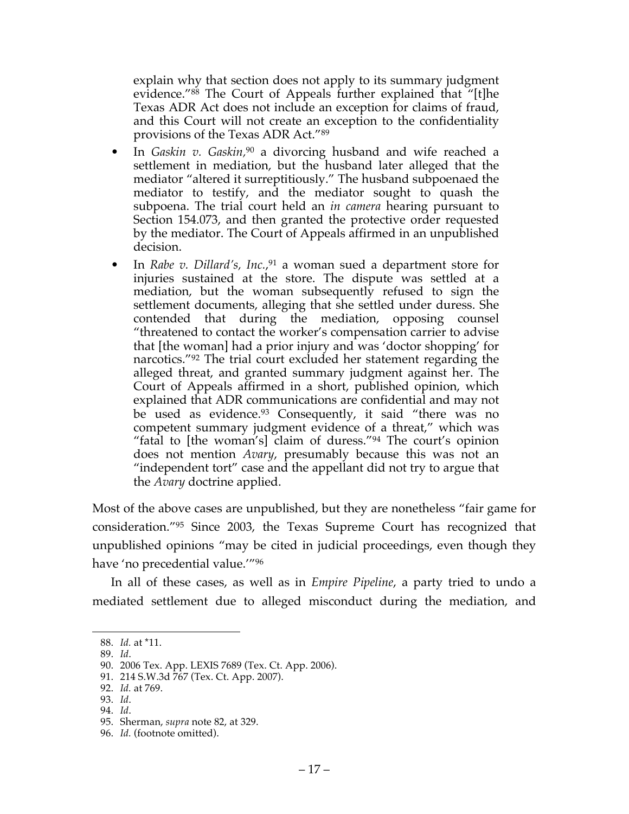explain why that section does not apply to its summary judgment evidence."88 The Court of Appeals further explained that "[t]he Texas ADR Act does not include an exception for claims of fraud, and this Court will not create an exception to the confidentiality provisions of the Texas ADR Act."89

- In *Gaskin v. Gaskin,*<sup>90</sup> a divorcing husband and wife reached a settlement in mediation, but the husband later alleged that the mediator "altered it surreptitiously." The husband subpoenaed the mediator to testify, and the mediator sought to quash the subpoena. The trial court held an *in camera* hearing pursuant to Section 154.073, and then granted the protective order requested by the mediator. The Court of Appeals affirmed in an unpublished decision.
- In *Rabe v. Dillard's, Inc.*,<sup>91</sup> a woman sued a department store for injuries sustained at the store. The dispute was settled at a mediation, but the woman subsequently refused to sign the settlement documents, alleging that she settled under duress. She contended that during the mediation, opposing counsel "threatened to contact the worker's compensation carrier to advise that [the woman] had a prior injury and was 'doctor shopping' for narcotics."92 The trial court excluded her statement regarding the alleged threat, and granted summary judgment against her. The Court of Appeals affirmed in a short, published opinion, which explained that ADR communications are confidential and may not be used as evidence.<sup>93</sup> Consequently, it said "there was no competent summary judgment evidence of a threat," which was "fatal to [the woman's] claim of duress."<sup>94</sup> The court's opinion does not mention *Avary*, presumably because this was not an "independent tort" case and the appellant did not try to argue that the *Avary* doctrine applied.

Most of the above cases are unpublished, but they are nonetheless "fair game for consideration."95 Since 2003, the Texas Supreme Court has recognized that unpublished opinions "may be cited in judicial proceedings, even though they have 'no precedential value.'"96

In all of these cases, as well as in *Empire Pipeline*, a party tried to undo a mediated settlement due to alleged misconduct during the mediation, and

 <sup>88.</sup> *Id.* at \*11.

<sup>89.</sup> *Id*.

<sup>90.</sup> 2006 Tex. App. LEXIS 7689 (Tex. Ct. App. 2006).

<sup>91.</sup> 214 S.W.3d 767 (Tex. Ct. App. 2007).

<sup>92.</sup> *Id.* at 769.

<sup>93.</sup> *Id*.

<sup>94.</sup> *Id*.

<sup>95.</sup> Sherman, *supra* note 82, at 329.

<sup>96.</sup> *Id.* (footnote omitted).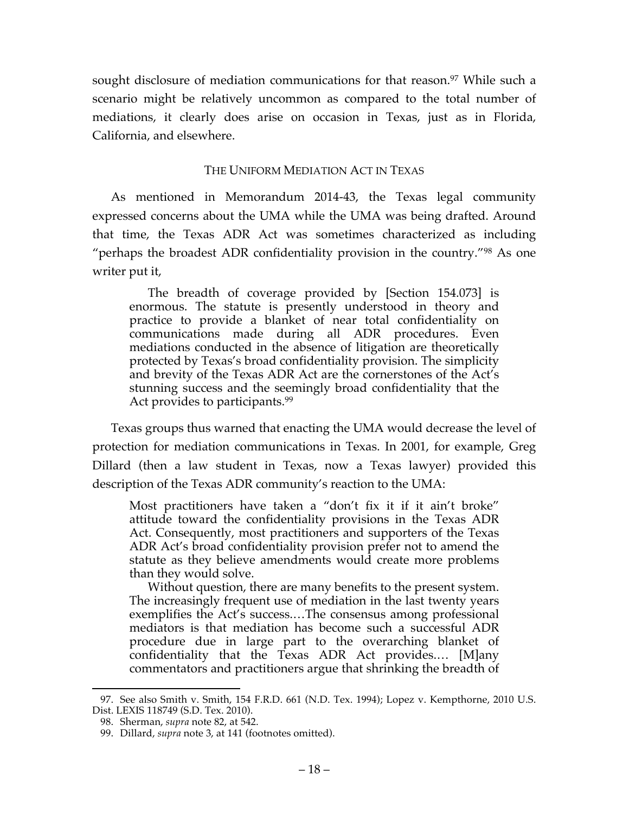sought disclosure of mediation communications for that reason. <sup>97</sup> While such a scenario might be relatively uncommon as compared to the total number of mediations, it clearly does arise on occasion in Texas, just as in Florida, California, and elsewhere.

#### THE UNIFORM MEDIATION ACT IN TEXAS

As mentioned in Memorandum 2014-43, the Texas legal community expressed concerns about the UMA while the UMA was being drafted. Around that time, the Texas ADR Act was sometimes characterized as including "perhaps the broadest ADR confidentiality provision in the country."98 As one writer put it,

The breadth of coverage provided by [Section 154.073] is enormous. The statute is presently understood in theory and practice to provide a blanket of near total confidentiality on communications made during all ADR procedures. Even mediations conducted in the absence of litigation are theoretically protected by Texas's broad confidentiality provision. The simplicity and brevity of the Texas ADR Act are the cornerstones of the Act's stunning success and the seemingly broad confidentiality that the Act provides to participants.<sup>99</sup>

Texas groups thus warned that enacting the UMA would decrease the level of protection for mediation communications in Texas. In 2001, for example, Greg Dillard (then a law student in Texas, now a Texas lawyer) provided this description of the Texas ADR community's reaction to the UMA:

Most practitioners have taken a "don't fix it if it ain't broke" attitude toward the confidentiality provisions in the Texas ADR Act. Consequently, most practitioners and supporters of the Texas ADR Act's broad confidentiality provision prefer not to amend the statute as they believe amendments would create more problems than they would solve.

Without question, there are many benefits to the present system. The increasingly frequent use of mediation in the last twenty years exemplifies the Act's success.…The consensus among professional mediators is that mediation has become such a successful ADR procedure due in large part to the overarching blanket of confidentiality that the Texas ADR Act provides.… [M]any commentators and practitioners argue that shrinking the breadth of

 <sup>97.</sup> See also Smith v. Smith, 154 F.R.D. 661 (N.D. Tex. 1994); Lopez v. Kempthorne, 2010 U.S. Dist. LEXIS 118749 (S.D. Tex. 2010).

<sup>98.</sup> Sherman, *supra* note 82, at 542.

<sup>99.</sup> Dillard, *supra* note 3, at 141 (footnotes omitted).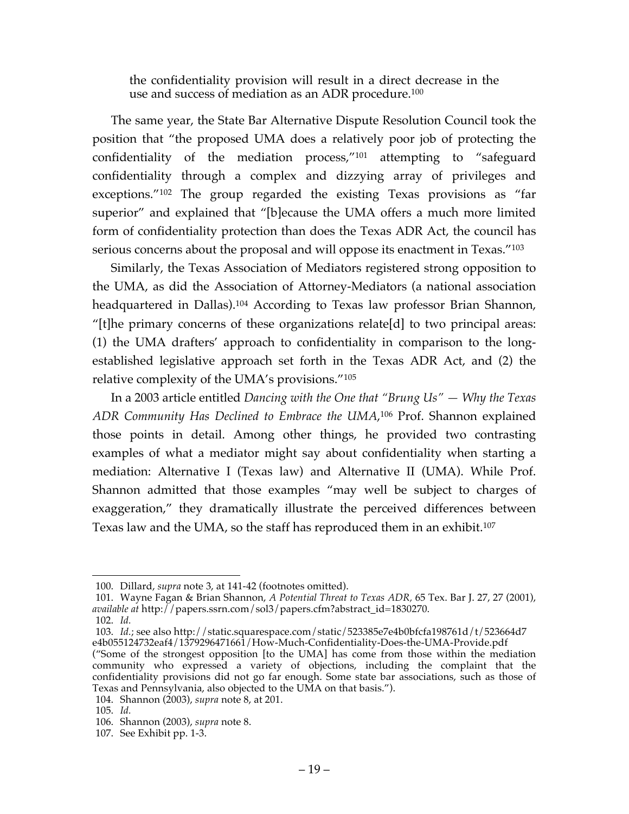the confidentiality provision will result in a direct decrease in the use and success of mediation as an ADR procedure.100

The same year, the State Bar Alternative Dispute Resolution Council took the position that "the proposed UMA does a relatively poor job of protecting the confidentiality of the mediation process,"101 attempting to "safeguard confidentiality through a complex and dizzying array of privileges and exceptions."102 The group regarded the existing Texas provisions as "far superior" and explained that "[b]ecause the UMA offers a much more limited form of confidentiality protection than does the Texas ADR Act, the council has serious concerns about the proposal and will oppose its enactment in Texas."<sup>103</sup>

Similarly, the Texas Association of Mediators registered strong opposition to the UMA, as did the Association of Attorney-Mediators (a national association headquartered in Dallas). <sup>104</sup> According to Texas law professor Brian Shannon, "[t]he primary concerns of these organizations relate[d] to two principal areas: (1) the UMA drafters' approach to confidentiality in comparison to the longestablished legislative approach set forth in the Texas ADR Act, and (2) the relative complexity of the UMA's provisions."105

In a 2003 article entitled *Dancing with the One that "Brung Us" — Why the Texas ADR Community Has Declined to Embrace the UMA*, <sup>106</sup> Prof. Shannon explained those points in detail. Among other things, he provided two contrasting examples of what a mediator might say about confidentiality when starting a mediation: Alternative I (Texas law) and Alternative II (UMA). While Prof. Shannon admitted that those examples "may well be subject to charges of exaggeration," they dramatically illustrate the perceived differences between Texas law and the UMA, so the staff has reproduced them in an exhibit.107

103. *Id.*; see also http://static.squarespace.com/static/523385e7e4b0bfcfa198761d/t/523664d7 e4b055124732eaf4/1379296471661/How-Much-Confidentiality-Does-the-UMA-Provide.pdf

 <sup>100.</sup> Dillard, *supra* note 3, at 141-42 (footnotes omitted).

<sup>101.</sup> Wayne Fagan & Brian Shannon, *A Potential Threat to Texas ADR,* 65 Tex. Bar J. 27, 27 (2001), *available at* http://papers.ssrn.com/sol3/papers.cfm?abstract\_id=1830270.

<sup>102.</sup> *Id.*

<sup>(&</sup>quot;Some of the strongest opposition [to the UMA] has come from those within the mediation community who expressed a variety of objections, including the complaint that the confidentiality provisions did not go far enough. Some state bar associations, such as those of Texas and Pennsylvania, also objected to the UMA on that basis.").

<sup>104.</sup> Shannon (2003), *supra* note 8, at 201.

<sup>105.</sup> *Id.*

<sup>106.</sup> Shannon (2003), *supra* note 8.

<sup>107.</sup> See Exhibit pp. 1-3.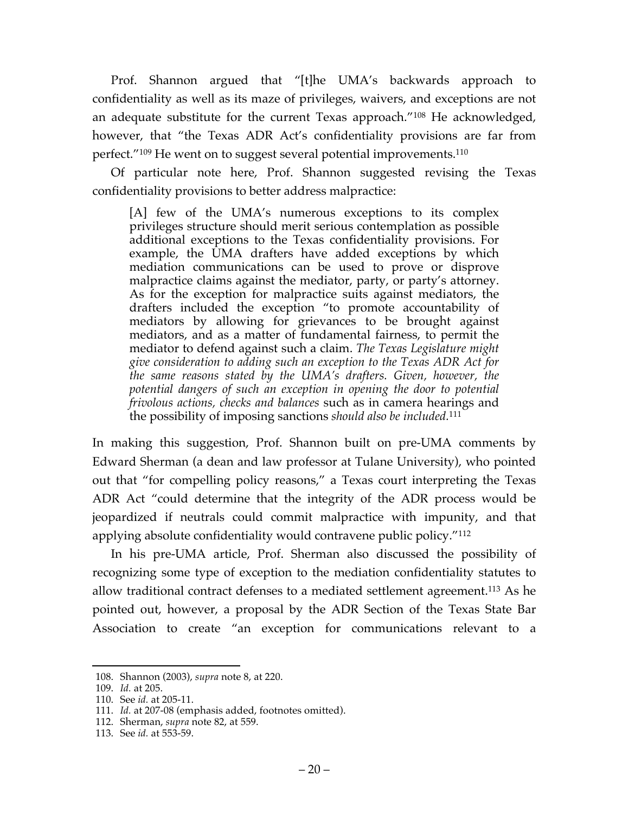Prof. Shannon argued that "[t]he UMA's backwards approach to confidentiality as well as its maze of privileges, waivers, and exceptions are not an adequate substitute for the current Texas approach."108 He acknowledged, however, that "the Texas ADR Act's confidentiality provisions are far from perfect."109 He went on to suggest several potential improvements.110

Of particular note here, Prof. Shannon suggested revising the Texas confidentiality provisions to better address malpractice:

[A] few of the UMA's numerous exceptions to its complex privileges structure should merit serious contemplation as possible additional exceptions to the Texas confidentiality provisions. For example, the UMA drafters have added exceptions by which mediation communications can be used to prove or disprove malpractice claims against the mediator, party, or party's attorney. As for the exception for malpractice suits against mediators, the drafters included the exception "to promote accountability of mediators by allowing for grievances to be brought against mediators, and as a matter of fundamental fairness, to permit the mediator to defend against such a claim. *The Texas Legislature might give consideration to adding such an exception to the Texas ADR Act for the same reasons stated by the UMA's drafters. Given, however, the potential dangers of such an exception in opening the door to potential frivolous actions, checks and balances* such as in camera hearings and the possibility of imposing sanctions *should also be included.*<sup>111</sup>

In making this suggestion, Prof. Shannon built on pre-UMA comments by Edward Sherman (a dean and law professor at Tulane University), who pointed out that "for compelling policy reasons," a Texas court interpreting the Texas ADR Act "could determine that the integrity of the ADR process would be jeopardized if neutrals could commit malpractice with impunity, and that applying absolute confidentiality would contravene public policy."112

In his pre-UMA article, Prof. Sherman also discussed the possibility of recognizing some type of exception to the mediation confidentiality statutes to allow traditional contract defenses to a mediated settlement agreement.113 As he pointed out, however, a proposal by the ADR Section of the Texas State Bar Association to create "an exception for communications relevant to a

 <sup>108.</sup> Shannon (2003), *supra* note 8, at 220.

<sup>109.</sup> *Id.* at 205.

<sup>110.</sup> See *id.* at 205-11.

<sup>111.</sup> *Id.* at 207-08 (emphasis added, footnotes omitted).

<sup>112.</sup> Sherman, *supra* note 82, at 559.

<sup>113.</sup> See *id.* at 553-59.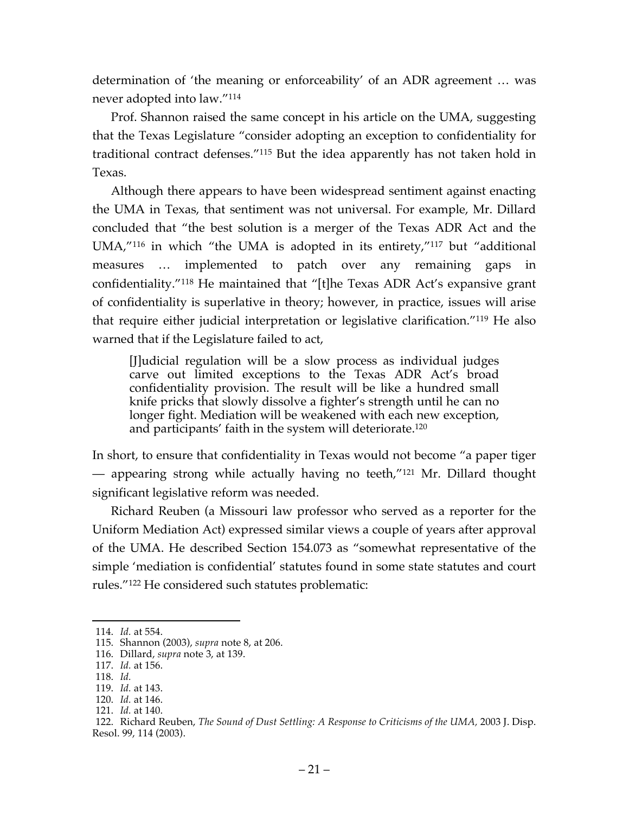determination of 'the meaning or enforceability' of an ADR agreement … was never adopted into law."114

Prof. Shannon raised the same concept in his article on the UMA, suggesting that the Texas Legislature "consider adopting an exception to confidentiality for traditional contract defenses."115 But the idea apparently has not taken hold in Texas.

Although there appears to have been widespread sentiment against enacting the UMA in Texas, that sentiment was not universal. For example, Mr. Dillard concluded that "the best solution is a merger of the Texas ADR Act and the UMA,"116 in which "the UMA is adopted in its entirety,"117 but "additional measures … implemented to patch over any remaining gaps in confidentiality."118 He maintained that "[t]he Texas ADR Act's expansive grant of confidentiality is superlative in theory; however, in practice, issues will arise that require either judicial interpretation or legislative clarification."119 He also warned that if the Legislature failed to act,

[J]udicial regulation will be a slow process as individual judges carve out limited exceptions to the Texas ADR Act's broad confidentiality provision. The result will be like a hundred small knife pricks that slowly dissolve a fighter's strength until he can no longer fight. Mediation will be weakened with each new exception, and participants' faith in the system will deteriorate.120

In short, to ensure that confidentiality in Texas would not become "a paper tiger — appearing strong while actually having no teeth,"121 Mr. Dillard thought significant legislative reform was needed.

Richard Reuben (a Missouri law professor who served as a reporter for the Uniform Mediation Act) expressed similar views a couple of years after approval of the UMA. He described Section 154.073 as "somewhat representative of the simple 'mediation is confidential' statutes found in some state statutes and court rules."122 He considered such statutes problematic:

118. *Id.*

 <sup>114.</sup> *Id.* at 554.

<sup>115.</sup> Shannon (2003), *supra* note 8, at 206.

<sup>116.</sup> Dillard, *supra* note 3, at 139.

<sup>117.</sup> *Id.* at 156.

<sup>119.</sup> *Id.* at 143.

<sup>120.</sup> *Id.* at 146.

<sup>121.</sup> *Id.* at 140.

<sup>122.</sup> Richard Reuben, *The Sound of Dust Settling: A Response to Criticisms of the UMA,* 2003 J. Disp. Resol. 99, 114 (2003).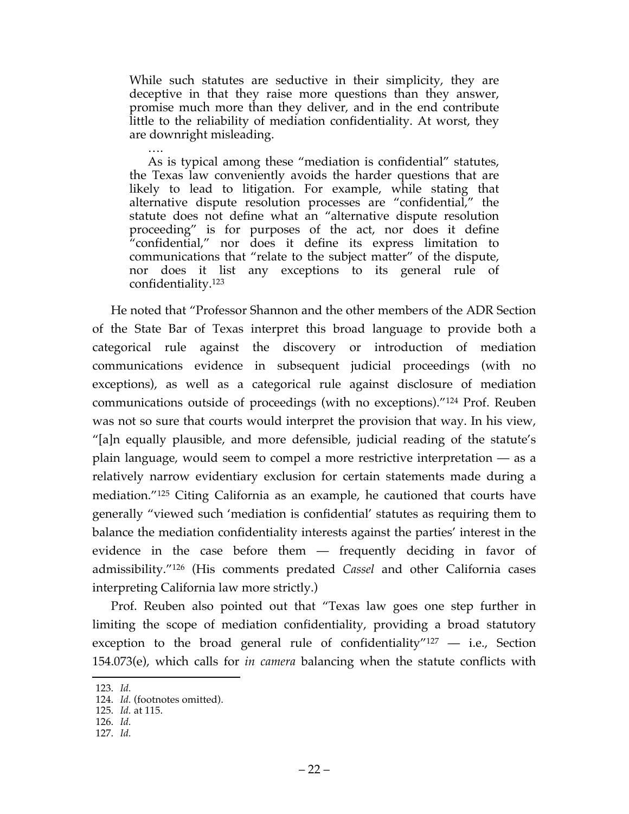While such statutes are seductive in their simplicity, they are deceptive in that they raise more questions than they answer, promise much more than they deliver, and in the end contribute little to the reliability of mediation confidentiality. At worst, they are downright misleading.

…. As is typical among these "mediation is confidential" statutes, the Texas law conveniently avoids the harder questions that are likely to lead to litigation. For example, while stating that alternative dispute resolution processes are "confidential," the statute does not define what an "alternative dispute resolution proceeding" is for purposes of the act, nor does it define "confidential," nor does it define its express limitation to communications that "relate to the subject matter" of the dispute, nor does it list any exceptions to its general rule of confidentiality.123

He noted that "Professor Shannon and the other members of the ADR Section of the State Bar of Texas interpret this broad language to provide both a categorical rule against the discovery or introduction of mediation communications evidence in subsequent judicial proceedings (with no exceptions), as well as a categorical rule against disclosure of mediation communications outside of proceedings (with no exceptions)."124 Prof. Reuben was not so sure that courts would interpret the provision that way. In his view, "[a]n equally plausible, and more defensible, judicial reading of the statute's plain language, would seem to compel a more restrictive interpretation — as a relatively narrow evidentiary exclusion for certain statements made during a mediation."125 Citing California as an example, he cautioned that courts have generally "viewed such 'mediation is confidential' statutes as requiring them to balance the mediation confidentiality interests against the parties' interest in the evidence in the case before them — frequently deciding in favor of admissibility."126 (His comments predated *Cassel* and other California cases interpreting California law more strictly.)

Prof. Reuben also pointed out that "Texas law goes one step further in limiting the scope of mediation confidentiality, providing a broad statutory exception to the broad general rule of confidentiality"127 — i.e., Section 154.073(e), which calls for *in camera* balancing when the statute conflicts with

127. *Id.*

 <sup>123.</sup> *Id.*

<sup>124.</sup> *Id.* (footnotes omitted).

<sup>125.</sup> *Id.* at 115.

<sup>126.</sup> *Id.*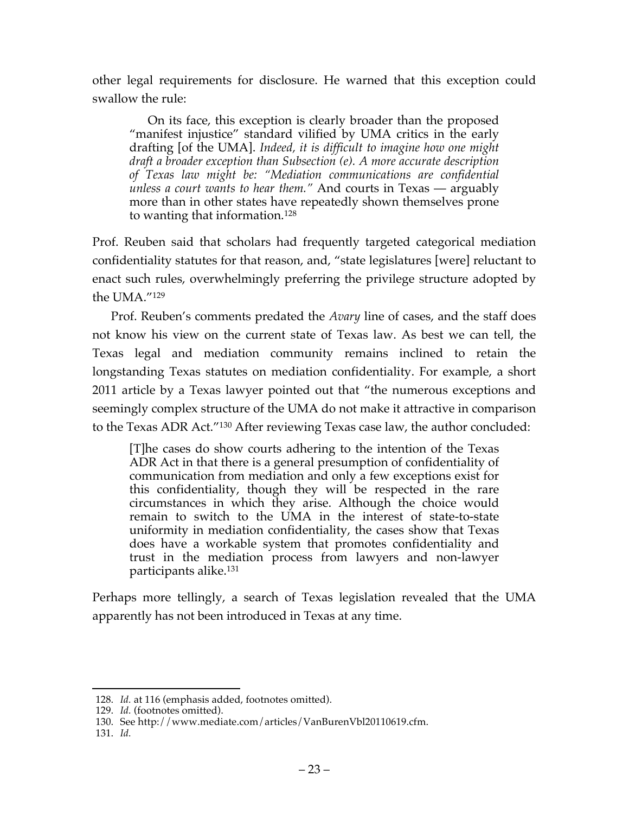other legal requirements for disclosure. He warned that this exception could swallow the rule:

On its face, this exception is clearly broader than the proposed "manifest injustice" standard vilified by UMA critics in the early drafting [of the UMA]. *Indeed, it is difficult to imagine how one might draft a broader exception than Subsection (e). A more accurate description of Texas law might be: "Mediation communications are confidential unless a court wants to hear them."* And courts in Texas — arguably more than in other states have repeatedly shown themselves prone to wanting that information.128

Prof. Reuben said that scholars had frequently targeted categorical mediation confidentiality statutes for that reason, and, "state legislatures [were] reluctant to enact such rules, overwhelmingly preferring the privilege structure adopted by the UMA."129

Prof. Reuben's comments predated the *Avary* line of cases, and the staff does not know his view on the current state of Texas law. As best we can tell, the Texas legal and mediation community remains inclined to retain the longstanding Texas statutes on mediation confidentiality. For example, a short 2011 article by a Texas lawyer pointed out that "the numerous exceptions and seemingly complex structure of the UMA do not make it attractive in comparison to the Texas ADR Act."130 After reviewing Texas case law, the author concluded:

[T]he cases do show courts adhering to the intention of the Texas ADR Act in that there is a general presumption of confidentiality of communication from mediation and only a few exceptions exist for this confidentiality, though they will be respected in the rare circumstances in which they arise. Although the choice would remain to switch to the UMA in the interest of state-to-state uniformity in mediation confidentiality, the cases show that Texas does have a workable system that promotes confidentiality and trust in the mediation process from lawyers and non-lawyer participants alike.131

Perhaps more tellingly, a search of Texas legislation revealed that the UMA apparently has not been introduced in Texas at any time.

 <sup>128.</sup> *Id.* at 116 (emphasis added, footnotes omitted).

<sup>129.</sup> *Id.* (footnotes omitted).

<sup>130.</sup> See http://www.mediate.com/articles/VanBurenVbl20110619.cfm.

<sup>131.</sup> *Id.*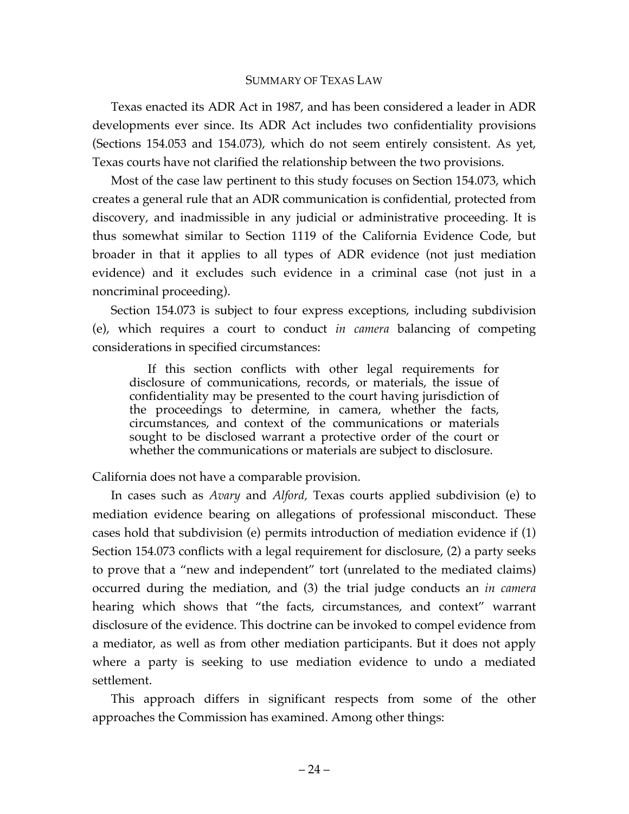#### SUMMARY OF TEXAS LAW

Texas enacted its ADR Act in 1987, and has been considered a leader in ADR developments ever since. Its ADR Act includes two confidentiality provisions (Sections 154.053 and 154.073), which do not seem entirely consistent. As yet, Texas courts have not clarified the relationship between the two provisions.

Most of the case law pertinent to this study focuses on Section 154.073, which creates a general rule that an ADR communication is confidential, protected from discovery, and inadmissible in any judicial or administrative proceeding. It is thus somewhat similar to Section 1119 of the California Evidence Code, but broader in that it applies to all types of ADR evidence (not just mediation evidence) and it excludes such evidence in a criminal case (not just in a noncriminal proceeding).

Section 154.073 is subject to four express exceptions, including subdivision (e), which requires a court to conduct *in camera* balancing of competing considerations in specified circumstances:

If this section conflicts with other legal requirements for disclosure of communications, records, or materials, the issue of confidentiality may be presented to the court having jurisdiction of the proceedings to determine, in camera, whether the facts, circumstances, and context of the communications or materials sought to be disclosed warrant a protective order of the court or whether the communications or materials are subject to disclosure.

California does not have a comparable provision.

In cases such as *Avary* and *Alford,* Texas courts applied subdivision (e) to mediation evidence bearing on allegations of professional misconduct. These cases hold that subdivision (e) permits introduction of mediation evidence if (1) Section 154.073 conflicts with a legal requirement for disclosure, (2) a party seeks to prove that a "new and independent" tort (unrelated to the mediated claims) occurred during the mediation, and (3) the trial judge conducts an *in camera* hearing which shows that "the facts, circumstances, and context" warrant disclosure of the evidence. This doctrine can be invoked to compel evidence from a mediator, as well as from other mediation participants. But it does not apply where a party is seeking to use mediation evidence to undo a mediated settlement.

This approach differs in significant respects from some of the other approaches the Commission has examined. Among other things: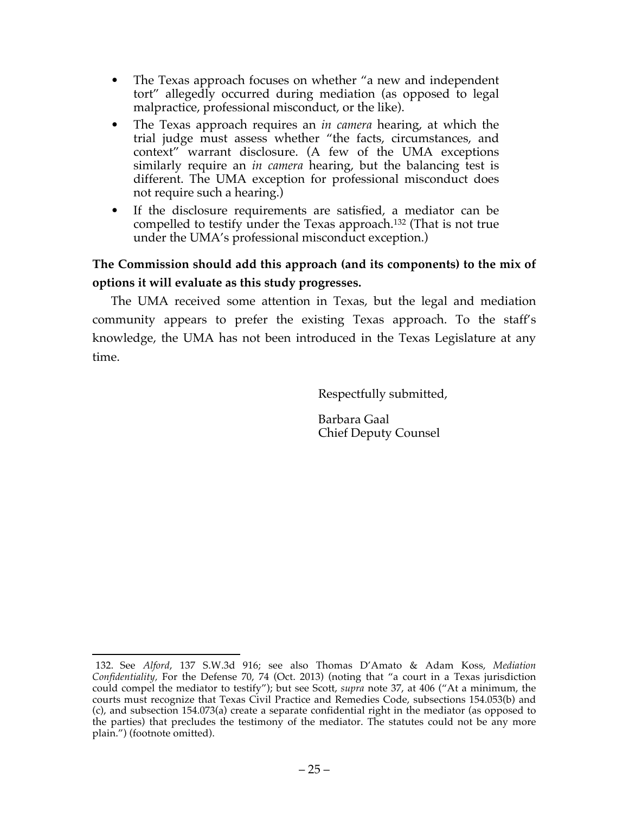- The Texas approach focuses on whether "a new and independent tort" allegedly occurred during mediation (as opposed to legal malpractice, professional misconduct, or the like).
- The Texas approach requires an *in camera* hearing, at which the trial judge must assess whether "the facts, circumstances, and context" warrant disclosure. (A few of the UMA exceptions similarly require an *in camera* hearing, but the balancing test is different. The UMA exception for professional misconduct does not require such a hearing.)
- If the disclosure requirements are satisfied, a mediator can be compelled to testify under the Texas approach.132 (That is not true under the UMA's professional misconduct exception.)

## **The Commission should add this approach (and its components) to the mix of options it will evaluate as this study progresses.**

The UMA received some attention in Texas, but the legal and mediation community appears to prefer the existing Texas approach. To the staff's knowledge, the UMA has not been introduced in the Texas Legislature at any time.

Respectfully submitted,

Barbara Gaal Chief Deputy Counsel

 <sup>132.</sup> See *Alford*, 137 S.W.3d 916; see also Thomas D'Amato & Adam Koss, *Mediation Confidentiality,* For the Defense 70, 74 (Oct. 2013) (noting that "a court in a Texas jurisdiction could compel the mediator to testify"); but see Scott, *supra* note 37, at 406 ("At a minimum, the courts must recognize that Texas Civil Practice and Remedies Code, subsections 154.053(b) and (c), and subsection 154.073(a) create a separate confidential right in the mediator (as opposed to the parties) that precludes the testimony of the mediator. The statutes could not be any more plain.") (footnote omitted).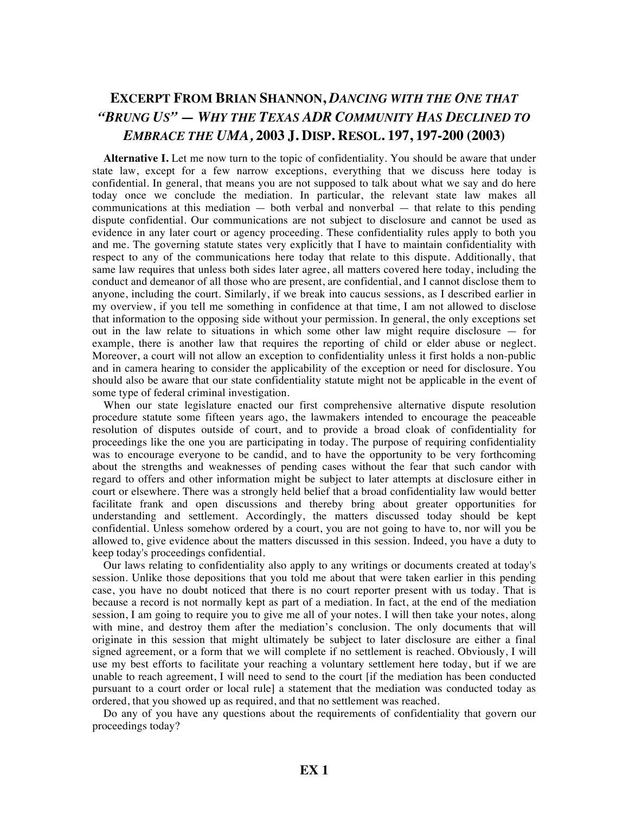# **EXCERPT FROM BRIAN SHANNON,** *DANCING WITH THE ONE THAT "BRUNG US" — WHY THE TEXAS ADR COMMUNITY HAS DECLINED TO EMBRACE THE UMA,* **2003 J. DISP. RESOL. 197, 197-200 (2003)**

**Alternative I.** Let me now turn to the topic of confidentiality. You should be aware that under state law, except for a few narrow exceptions, everything that we discuss here today is confidential. In general, that means you are not supposed to talk about what we say and do here today once we conclude the mediation. In particular, the relevant state law makes all communications at this mediation — both verbal and nonverbal — that relate to this pending dispute confidential. Our communications are not subject to disclosure and cannot be used as evidence in any later court or agency proceeding. These confidentiality rules apply to both you and me. The governing statute states very explicitly that I have to maintain confidentiality with respect to any of the communications here today that relate to this dispute. Additionally, that same law requires that unless both sides later agree, all matters covered here today, including the conduct and demeanor of all those who are present, are confidential, and I cannot disclose them to anyone, including the court. Similarly, if we break into caucus sessions, as I described earlier in my overview, if you tell me something in confidence at that time, I am not allowed to disclose that information to the opposing side without your permission. In general, the only exceptions set out in the law relate to situations in which some other law might require disclosure — for example, there is another law that requires the reporting of child or elder abuse or neglect. Moreover, a court will not allow an exception to confidentiality unless it first holds a non-public and in camera hearing to consider the applicability of the exception or need for disclosure. You should also be aware that our state confidentiality statute might not be applicable in the event of some type of federal criminal investigation.

When our state legislature enacted our first comprehensive alternative dispute resolution procedure statute some fifteen years ago, the lawmakers intended to encourage the peaceable resolution of disputes outside of court, and to provide a broad cloak of confidentiality for proceedings like the one you are participating in today. The purpose of requiring confidentiality was to encourage everyone to be candid, and to have the opportunity to be very forthcoming about the strengths and weaknesses of pending cases without the fear that such candor with regard to offers and other information might be subject to later attempts at disclosure either in court or elsewhere. There was a strongly held belief that a broad confidentiality law would better facilitate frank and open discussions and thereby bring about greater opportunities for understanding and settlement. Accordingly, the matters discussed today should be kept confidential. Unless somehow ordered by a court, you are not going to have to, nor will you be allowed to, give evidence about the matters discussed in this session. Indeed, you have a duty to keep today's proceedings confidential.

Our laws relating to confidentiality also apply to any writings or documents created at today's session. Unlike those depositions that you told me about that were taken earlier in this pending case, you have no doubt noticed that there is no court reporter present with us today. That is because a record is not normally kept as part of a mediation. In fact, at the end of the mediation session, I am going to require you to give me all of your notes. I will then take your notes, along with mine, and destroy them after the mediation's conclusion. The only documents that will originate in this session that might ultimately be subject to later disclosure are either a final signed agreement, or a form that we will complete if no settlement is reached. Obviously, I will use my best efforts to facilitate your reaching a voluntary settlement here today, but if we are unable to reach agreement, I will need to send to the court [if the mediation has been conducted pursuant to a court order or local rule] a statement that the mediation was conducted today as ordered, that you showed up as required, and that no settlement was reached.

Do any of you have any questions about the requirements of confidentiality that govern our proceedings today?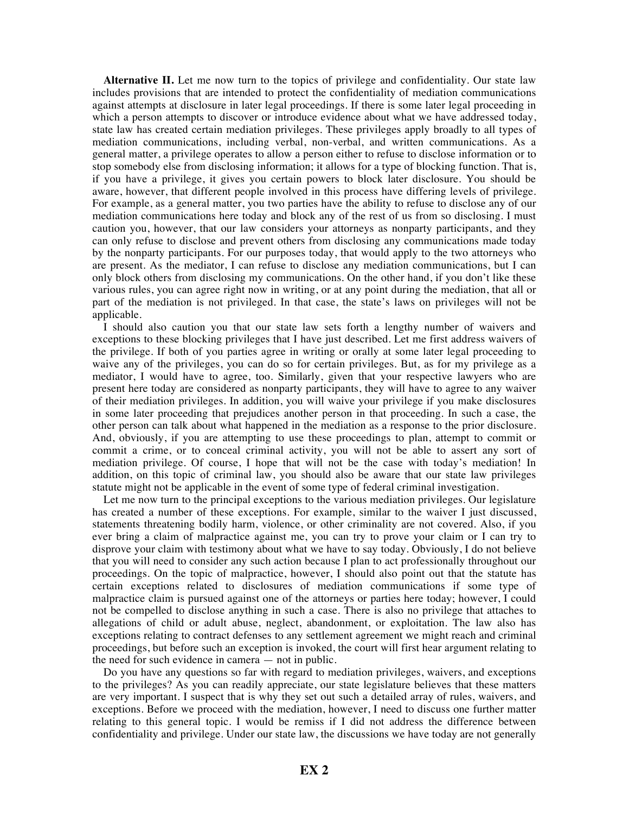**Alternative II.** Let me now turn to the topics of privilege and confidentiality. Our state law includes provisions that are intended to protect the confidentiality of mediation communications against attempts at disclosure in later legal proceedings. If there is some later legal proceeding in which a person attempts to discover or introduce evidence about what we have addressed today, state law has created certain mediation privileges. These privileges apply broadly to all types of mediation communications, including verbal, non-verbal, and written communications. As a general matter, a privilege operates to allow a person either to refuse to disclose information or to stop somebody else from disclosing information; it allows for a type of blocking function. That is, if you have a privilege, it gives you certain powers to block later disclosure. You should be aware, however, that different people involved in this process have differing levels of privilege. For example, as a general matter, you two parties have the ability to refuse to disclose any of our mediation communications here today and block any of the rest of us from so disclosing. I must caution you, however, that our law considers your attorneys as nonparty participants, and they can only refuse to disclose and prevent others from disclosing any communications made today by the nonparty participants. For our purposes today, that would apply to the two attorneys who are present. As the mediator, I can refuse to disclose any mediation communications, but I can only block others from disclosing my communications. On the other hand, if you don't like these various rules, you can agree right now in writing, or at any point during the mediation, that all or part of the mediation is not privileged. In that case, the state's laws on privileges will not be applicable.

I should also caution you that our state law sets forth a lengthy number of waivers and exceptions to these blocking privileges that I have just described. Let me first address waivers of the privilege. If both of you parties agree in writing or orally at some later legal proceeding to waive any of the privileges, you can do so for certain privileges. But, as for my privilege as a mediator, I would have to agree, too. Similarly, given that your respective lawyers who are present here today are considered as nonparty participants, they will have to agree to any waiver of their mediation privileges. In addition, you will waive your privilege if you make disclosures in some later proceeding that prejudices another person in that proceeding. In such a case, the other person can talk about what happened in the mediation as a response to the prior disclosure. And, obviously, if you are attempting to use these proceedings to plan, attempt to commit or commit a crime, or to conceal criminal activity, you will not be able to assert any sort of mediation privilege. Of course, I hope that will not be the case with today's mediation! In addition, on this topic of criminal law, you should also be aware that our state law privileges statute might not be applicable in the event of some type of federal criminal investigation.

Let me now turn to the principal exceptions to the various mediation privileges. Our legislature has created a number of these exceptions. For example, similar to the waiver I just discussed, statements threatening bodily harm, violence, or other criminality are not covered. Also, if you ever bring a claim of malpractice against me, you can try to prove your claim or I can try to disprove your claim with testimony about what we have to say today. Obviously, I do not believe that you will need to consider any such action because I plan to act professionally throughout our proceedings. On the topic of malpractice, however, I should also point out that the statute has certain exceptions related to disclosures of mediation communications if some type of malpractice claim is pursued against one of the attorneys or parties here today; however, I could not be compelled to disclose anything in such a case. There is also no privilege that attaches to allegations of child or adult abuse, neglect, abandonment, or exploitation. The law also has exceptions relating to contract defenses to any settlement agreement we might reach and criminal proceedings, but before such an exception is invoked, the court will first hear argument relating to the need for such evidence in camera — not in public.

Do you have any questions so far with regard to mediation privileges, waivers, and exceptions to the privileges? As you can readily appreciate, our state legislature believes that these matters are very important. I suspect that is why they set out such a detailed array of rules, waivers, and exceptions. Before we proceed with the mediation, however, I need to discuss one further matter relating to this general topic. I would be remiss if I did not address the difference between confidentiality and privilege. Under our state law, the discussions we have today are not generally